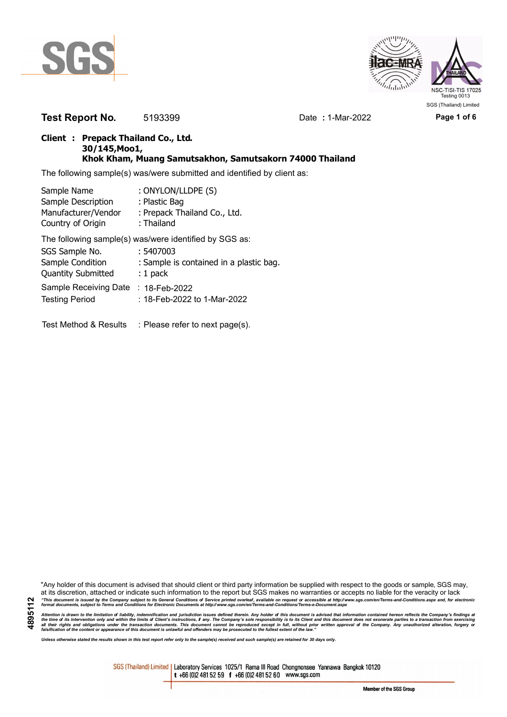



**Test Report No.** 5193399 Date : 1-Mar-2022 Page 1 of 6

## **Client : Prepack Thailand Co., Ltd. 30/145,Moo1, Khok Kham, Muang Samutsakhon, Samutsakorn 74000 Thailand**

The following sample(s) was/were submitted and identified by client as:

| Sample Name               | : ONYLON/LLDPE (S)                                     |
|---------------------------|--------------------------------------------------------|
| Sample Description        | : Plastic Bag                                          |
| Manufacturer/Vendor       | : Prepack Thailand Co., Ltd.                           |
| Country of Origin         | : Thailand                                             |
|                           | The following sample(s) was/were identified by SGS as: |
| SGS Sample No.            | : 5407003                                              |
| Sample Condition          | : Sample is contained in a plastic bag.                |
| <b>Quantity Submitted</b> | $: 1$ pack                                             |
| Sample Receiving Date     | : 18-Feb-2022                                          |
| <b>Testing Period</b>     | : 18-Feb-2022 to 1-Mar-2022                            |
| Test Method & Results     | : Please refer to next page(s).                        |

Attention is drawn to the limitation of liability, indemnification and jurisdiction issues defined therein. Any holder of this document is advised that information contained hereon reflects the Company's findings at<br>all th

*Unless otherwise stated the results shown in this test report refer only to the sample(s) received and such sample(s) are retained for 30 days only.*

SGS (Thailand) Limited | Laboratory Services 1025/1 Rama III Road Chongnonsee Yannawa Bangkok 10120 t +66 (0)2 481 52 59 f +66 (0)2 481 52 60 www.sgs.com

Member of the SGS Group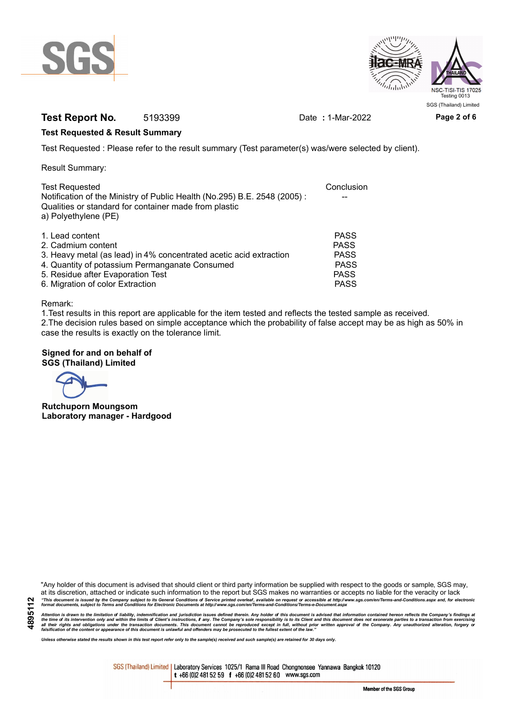



# **Test Report No.** 5193399 Date : 1-Mar-2022 Page 2 of 6

## **Test Requested & Result Summary**

Test Requested : Please refer to the result summary (Test parameter(s) was/were selected by client).

Result Summary:

| <b>Test Requested</b><br>Notification of the Ministry of Public Health (No.295) B.E. 2548 (2005): | Conclusion  |
|---------------------------------------------------------------------------------------------------|-------------|
| Qualities or standard for container made from plastic<br>a) Polyethylene (PE)                     |             |
| 1. Lead content                                                                                   | <b>PASS</b> |
| 2. Cadmium content                                                                                | <b>PASS</b> |
| 3. Heavy metal (as lead) in 4% concentrated acetic acid extraction                                | <b>PASS</b> |
| 4. Quantity of potassium Permanganate Consumed                                                    | <b>PASS</b> |
| 5. Residue after Evaporation Test                                                                 | <b>PASS</b> |
| 6. Migration of color Extraction                                                                  | <b>PASS</b> |

### Remark:

1.Test results in this report are applicable for the item tested and reflects the tested sample as received. 2.The decision rules based on simple acceptance which the probability of false accept may be as high as 50% in case the results is exactly on the tolerance limit.

## **Signed for and on behalf of SGS (Thailand) Limited**

**Rutchuporn Moungsom Laboratory manager - Hardgood**

"Any holder of this document is advised that should client or third party information be supplied with respect to the goods or sample, SGS may, at its discretion, attached or indicate such information to the report but SGS makes no warranties or accepts no liable for the veracity or lack "This document is issued by the Company subject to its General Conditions of Service printed overleaf, available on request or accessible at http://www.sgs.com/en/Terms-and-Conditions.aspx and, for electronic<br>format docume

Attention is drawn to the limitation of liability, indemnification and jurisdiction issues defined therein. Any holder of this document is advised that information contained hereon reflects the Company's findings at<br>all th

*Unless otherwise stated the results shown in this test report refer only to the sample(s) received and such sample(s) are retained for 30 days only.*

SGS (Thailand) Limited | Laboratory Services 1025/1 Rama III Road Chongnonsee Yannawa Bangkok 10120 t +66 (0)2 481 52 59 f +66 (0)2 481 52 60 www.sgs.com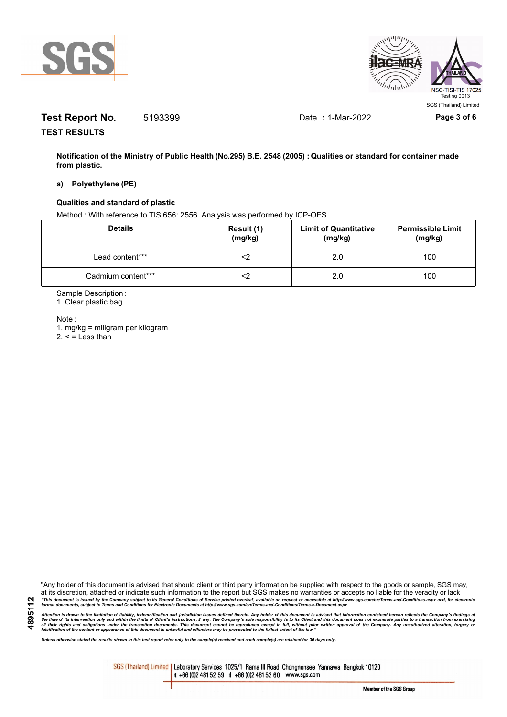



# **Test Report No.** 5193399 Date : 1-Mar-2022 Page 3 of 6

**TEST RESULTS**

**Notification of the Ministry of Public Health (No.295) B.E. 2548 (2005) : Qualities or standard for container made from plastic.**

### **a) Polyethylene (PE)**

### **Qualities and standard of plastic**

Method : With reference to TIS 656: 2556. Analysis was performed by ICP-OES.

| <b>Details</b>     | Result (1)<br>(mg/kg) | <b>Limit of Quantitative</b><br>(mg/kg) | <b>Permissible Limit</b><br>(mg/kg) |
|--------------------|-----------------------|-----------------------------------------|-------------------------------------|
| Lead content***    |                       | 2.0                                     | 100                                 |
| Cadmium content*** |                       | 2.0                                     | 100                                 |

Sample Description :

1. Clear plastic bag

Note :

1. mg/kg = miligram per kilogram  $2. <$  = Less than

"Any holder of this document is advised that should client or third party information be supplied with respect to the goods or sample, SGS may, at its discretion, attached or indicate such information to the report but SGS makes no warranties or accepts no liable for the veracity or lack "This document is issued by the Company subject to its General Conditions of Service printed overleaf, available on request or accessible at http://www.sgs.com/en/Terms-and-Conditions.aspx and, for electronic<br>format docume

Attention is drawn to the limitation of liability, indemnification and jurisdiction issues defined therein. Any holder of this document is advised that information contained hereon reflects the Company's findings at<br>all th

*Unless otherwise stated the results shown in this test report refer only to the sample(s) received and such sample(s) are retained for 30 days only.*

SGS (Thailand) Limited | Laboratory Services 1025/1 Rama III Road Chongnonsee Yannawa Bangkok 10120 t +66 (0)2 481 52 59 f +66 (0)2 481 52 60 www.sgs.com

Member of the SGS Group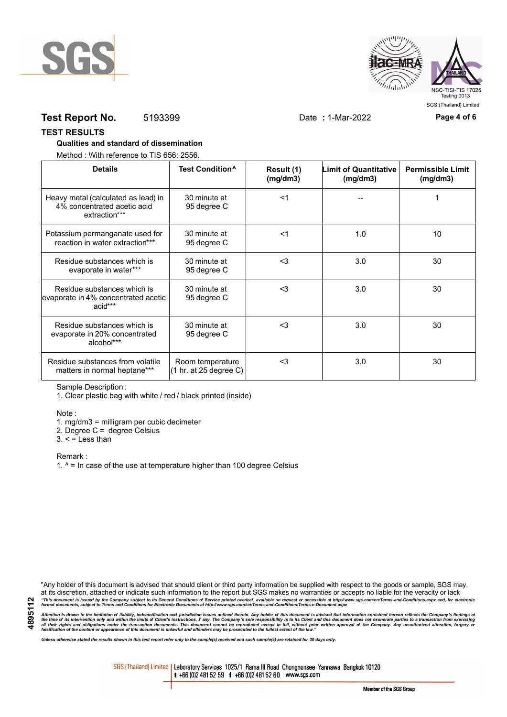



## **Test Report No.** 5193399 Date : 1-Mar-2022 Page 4 of 6

### **TEST RESULTS**

### **Qualities and standard of dissemination**

Method : With reference to TIS 656: 2556.

| <b>Details</b>                                                                      | Test Condition <sup>^</sup>                                   | Result (1)<br>(mg/dm3) | <b>Limit of Quantitative</b><br>(mg/dm3) | <b>Permissible Limit</b><br>(mg/dm3) |
|-------------------------------------------------------------------------------------|---------------------------------------------------------------|------------------------|------------------------------------------|--------------------------------------|
| Heavy metal (calculated as lead) in<br>4% concentrated acetic acid<br>extraction*** | 30 minute at<br>95 degree C                                   | <1                     |                                          |                                      |
| Potassium permanganate used for<br>reaction in water extraction***                  | 30 minute at<br>95 degree C                                   | $<$ 1                  | 1.0                                      | 10                                   |
| Residue substances which is<br>evaporate in water***                                | 30 minute at<br>95 degree C                                   | $3$                    | 3.0                                      | 30                                   |
| Residue substances which is<br>evaporate in 4% concentrated acetic<br>acid***       | 30 minute at<br>95 degree C                                   | $<$ 3                  | 3.0                                      | 30                                   |
| Residue substances which is<br>evaporate in 20% concentrated<br>alcohol***          | 30 minute at<br>95 degree C                                   | $3$                    | 3.0                                      | 30                                   |
| Residue substances from volatile<br>matters in normal heptane***                    | Room temperature<br>$(1 \text{ hr. at } 25 \text{ degree C})$ | $3$                    | 3.0                                      | 30                                   |

Sample Description :

1. Clear plastic bag with white / red / black printed (inside)

Note :

1. mg/dm3 = milligram per cubic decimeter

2. Degree C = degree Celsius

 $3. <$  = Less than

Remark :

1.  $^{\circ}$  = In case of the use at temperature higher than 100 degree Celsius

"Any holder of this document is advised that should client or third party information be supplied with respect to the goods or sample, SGS may, at its discretion, attached or indicate such information to the report but SGS makes no warranties or accepts no liable for the veracity or lack "This document is issued by the Company subject to its General Conditions of Service printed overleaf, available on request or accessible at http://www.sgs.com/en/Terms-and-Conditions.aspx and, for electronic<br>format docume

Attention is drawn to the limitation of liability, indemnification and jurisdiction issues defined therein. Any holder of this document is advised that information contained hereon reflects the Company's findings at<br>all th

*Unless otherwise stated the results shown in this test report refer only to the sample(s) received and such sample(s) are retained for 30 days only.*

SGS (Thailand) Limited | Laboratory Services 1025/1 Rama III Road Chongnonsee Yannawa Bangkok 10120 t +66 (0)2 481 52 59 f +66 (0)2 481 52 60 www.sgs.com

Member of the SGS Group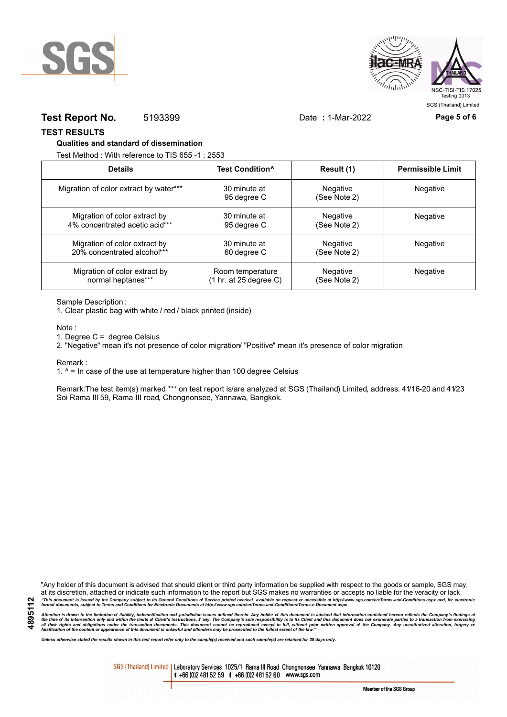



## **Test Report No.** 5193399 Date : 1-Mar-2022 Page 5 of 6

**TEST RESULTS**

#### **Qualities and standard of dissemination**

Test Method : With reference to TIS 655 -1 : 2553

| <b>Details</b>                         | Test Condition <sup>^</sup> | Result (1)                      | <b>Permissible Limit</b> |
|----------------------------------------|-----------------------------|---------------------------------|--------------------------|
| Migration of color extract by water*** | 30 minute at<br>95 degree C | <b>Negative</b><br>(See Note 2) | <b>Negative</b>          |
| Migration of color extract by          | 30 minute at                | <b>Negative</b>                 | <b>Negative</b>          |
| 4% concentrated acetic acid***         | 95 degree C                 | (See Note 2)                    |                          |
| Migration of color extract by          | 30 minute at                | <b>Negative</b>                 | <b>Negative</b>          |
| 20% concentrated alcohol***            | 60 degree C                 | (See Note 2)                    |                          |
| Migration of color extract by          | Room temperature            | <b>Negative</b>                 | Negative                 |
| normal heptanes***                     | (1 hr. at 25 degree C)      | (See Note 2)                    |                          |

Sample Description :

1. Clear plastic bag with white / red / black printed (inside)

Note :

1. Degree C = degree Celsius

2. "Negative" mean it's not presence of color migration/ "Positive" mean it's presence of color migration

Remark :

1.  $^{\circ}$  = In case of the use at temperature higher than 100 degree Celsius

Remark:The test item(s) marked \*\*\* on test report is/are analyzed at SGS (Thailand) Limited, address: 41/16-20 and 41/23 Soi Rama III 59, Rama III road, Chongnonsee, Yannawa, Bangkok.

**4895112**

"Any holder of this document is advised that should client or third party information be supplied with respect to the goods or sample, SGS may, at its discretion, attached or indicate such information to the report but SGS makes no warranties or accepts no liable for the veracity or lack "This document is issued by the Company subject to its General Conditions of Service printed overleaf, available on request or accessible at http://www.sgs.com/en/Terms-and-Conditions.aspx and, for electronic<br>format docume

Attention is drawn to the limitation of liability, indemnification and jurisdiction issues defined therein. Any holder of this document is advised that information contained hereon reflects the Company's findings at<br>all th

*Unless otherwise stated the results shown in this test report refer only to the sample(s) received and such sample(s) are retained for 30 days only.*

SGS (Thailand) Limited | Laboratory Services 1025/1 Rama III Road Chongnonsee Yannawa Bangkok 10120 t +66 (0)2 481 52 59 f +66 (0)2 481 52 60 www.sgs.com